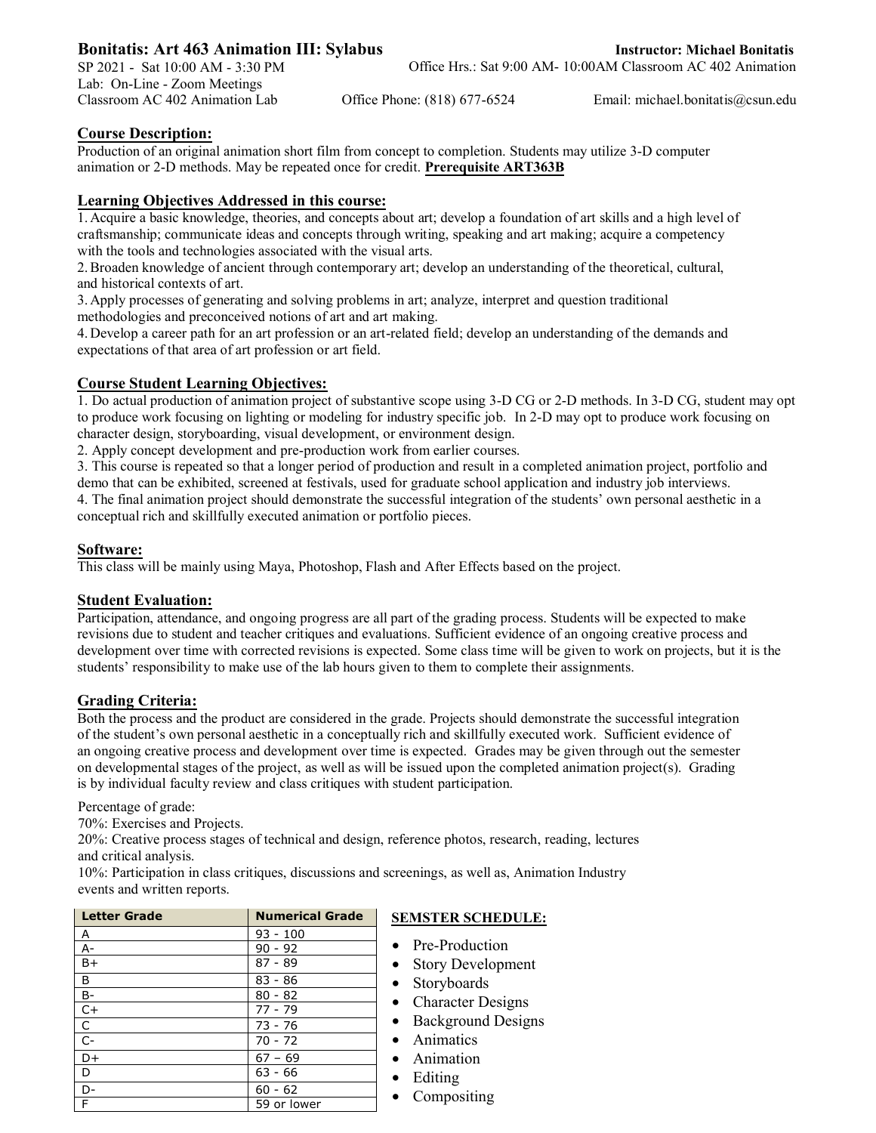# **Bonitatis: Art 463 Animation III: Sylabus**

SP 2021 - Sat 10:00 AM - 3:30 PM Lab: On-Line - Zoom Meetings

Classroom AC 402 Animation Lab Office Phone: (818) 677-6524 Email: michael.bonitatis@csun.edu

## **Course Description:**

Production of an original animation short film from concept to completion. Students may utilize 3-D computer animation or 2-D methods. May be repeated once for credit. **Prerequisite ART363B**

## **Learning Objectives Addressed in this course:**

1. Acquire a basic knowledge, theories, and concepts about art; develop a foundation of art skills and a high level of craftsmanship; communicate ideas and concepts through writing, speaking and art making; acquire a competency with the tools and technologies associated with the visual arts.

2.Broaden knowledge of ancient through contemporary art; develop an understanding of the theoretical, cultural, and historical contexts of art.

3. Apply processes of generating and solving problems in art; analyze, interpret and question traditional methodologies and preconceived notions of art and art making.

4. Develop a career path for an art profession or an art-related field; develop an understanding of the demands and expectations of that area of art profession or art field.

## **Course Student Learning Objectives:**

1. Do actual production of animation project of substantive scope using 3-D CG or 2-D methods. In 3-D CG, student may opt to produce work focusing on lighting or modeling for industry specific job. In 2-D may opt to produce work focusing on character design, storyboarding, visual development, or environment design.

2. Apply concept development and pre-production work from earlier courses.

3. This course is repeated so that a longer period of production and result in a completed animation project, portfolio and demo that can be exhibited, screened at festivals, used for graduate school application and industry job interviews. 4. The final animation project should demonstrate the successful integration of the students' own personal aesthetic in a conceptual rich and skillfully executed animation or portfolio pieces.

### **Software:**

This class will be mainly using Maya, Photoshop, Flash and After Effects based on the project.

### **Student Evaluation:**

Participation, attendance, and ongoing progress are all part of the grading process. Students will be expected to make revisions due to student and teacher critiques and evaluations. Sufficient evidence of an ongoing creative process and development over time with corrected revisions is expected. Some class time will be given to work on projects, but it is the students' responsibility to make use of the lab hours given to them to complete their assignments.

### **Grading Criteria:**

Both the process and the product are considered in the grade. Projects should demonstrate the successful integration of the student's own personal aesthetic in a conceptually rich and skillfully executed work. Sufficient evidence of an ongoing creative process and development over time is expected. Grades may be given through out the semester on developmental stages of the project, as well as will be issued upon the completed animation project(s). Grading is by individual faculty review and class critiques with student participation.

Percentage of grade:

70%: Exercises and Projects.

20%: Creative process stages of technical and design, reference photos, research, reading, lectures and critical analysis.

10%: Participation in class critiques, discussions and screenings, as well as, Animation Industry events and written reports.

| <b>Letter Grade</b> | <b>Numerical Grade</b> | ŗ |
|---------------------|------------------------|---|
| A                   | $93 - 100$             |   |
| $A -$               | $90 - 92$              |   |
| $B+$                | $87 - 89$              |   |
| B                   | $83 - 86$              |   |
| $B -$               | $80 - 82$              |   |
| $C+$                | $77 - 79$              |   |
| $\mathsf{C}$        | 73 - 76                |   |
| $C -$               | $70 - 72$              |   |
| $D+$                | $67 - 69$              |   |
| D                   | $63 - 66$              |   |
| D-                  | $60 - 62$              |   |
| F                   | 59 or lower            |   |

# **SEMSTER SCHEDULE:**

- Pre-Production
- Story Development
- Storyboards
- Character Designs
- Background Designs
- Animatics
- Animation
- Editing
- Compositing